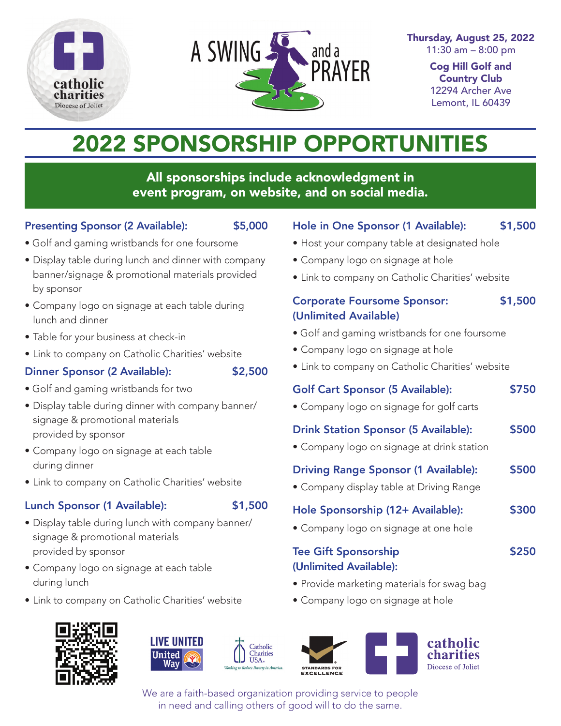



Thursday, August 25, 2022 11:30 am – 8:00 pm

> Cog Hill Golf and Country Club 12294 Archer Ave Lemont, IL 60439

# 2022 SPONSORSHIP OPPORTUNITIES

All sponsorships include acknowledgment in event program, on website, and on social media.

#### Presenting Sponsor (2 Available): \$5,000

- 
- Golf and gaming wristbands for one foursome
- Display table during lunch and dinner with company banner/signage & promotional materials provided by sponsor
- Company logo on signage at each table during lunch and dinner
- Table for your business at check-in
- Link to company on Catholic Charities' website

#### Dinner Sponsor (2 Available): \$2,500

- Golf and gaming wristbands for two
- Display table during dinner with company banner/ signage & promotional materials provided by sponsor
- Company logo on signage at each table during dinner
- Link to company on Catholic Charities' website

### Lunch Sponsor (1 Available): \$1,500

- Display table during lunch with company banner/ signage & promotional materials provided by sponsor
- Company logo on signage at each table during lunch
- Link to company on Catholic Charities' website











We are a faith-based organization providing service to people in need and calling others of good will to do the same.

# Hole in One Sponsor (1 Available): \$1,500

- Host your company table at designated hole
- Company logo on signage at hole
- Link to company on Catholic Charities' website

# Corporate Foursome Sponsor: \$1,500 (Unlimited Available)

- Golf and gaming wristbands for one foursome
- Company logo on signage at hole
- Link to company on Catholic Charities' website

# Golf Cart Sponsor (5 Available): \$750

• Company logo on signage for golf carts

# Drink Station Sponsor (5 Available): \$500

• Company logo on signage at drink station

# Driving Range Sponsor (1 Available): \$500

• Company display table at Driving Range

# Hole Sponsorship (12+ Available): \$300

• Company logo on signage at one hole

# Tee Gift Sponsorship **\$250** (Unlimited Available):

- Provide marketing materials for swag bag
- Company logo on signage at hole